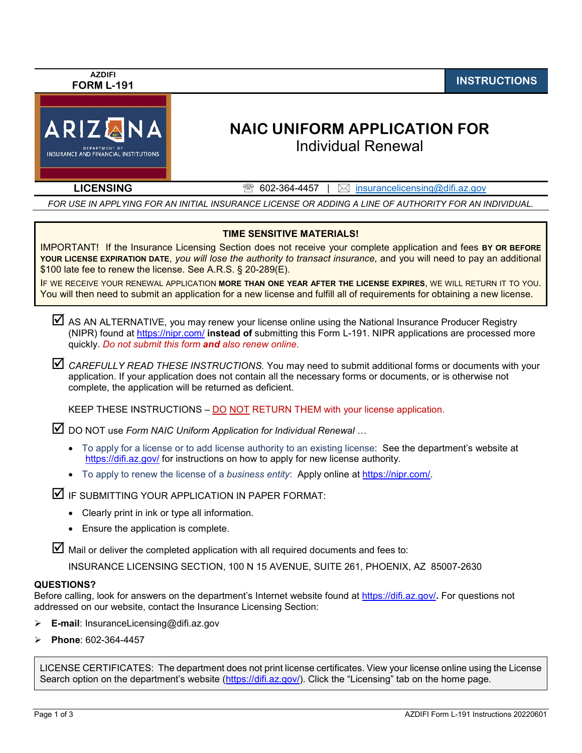| <b>AZDIFI</b><br><b>FORM L-191</b>                                                                                                                                                                                                                                                                                                                                                                                                                                                                                                                                                            |                                                                                                                                                                                                                                                                                                                                                                                                                                                                                                                                                                                                                                                                                                                                                                                                                                                                                                                                                                                                                                                                                                                                                                                                                                                                                                                                                                                                                                             | <b>INSTRUCTIONS</b> |  |  |  |
|-----------------------------------------------------------------------------------------------------------------------------------------------------------------------------------------------------------------------------------------------------------------------------------------------------------------------------------------------------------------------------------------------------------------------------------------------------------------------------------------------------------------------------------------------------------------------------------------------|---------------------------------------------------------------------------------------------------------------------------------------------------------------------------------------------------------------------------------------------------------------------------------------------------------------------------------------------------------------------------------------------------------------------------------------------------------------------------------------------------------------------------------------------------------------------------------------------------------------------------------------------------------------------------------------------------------------------------------------------------------------------------------------------------------------------------------------------------------------------------------------------------------------------------------------------------------------------------------------------------------------------------------------------------------------------------------------------------------------------------------------------------------------------------------------------------------------------------------------------------------------------------------------------------------------------------------------------------------------------------------------------------------------------------------------------|---------------------|--|--|--|
| ARIZANA<br><b>INSURANCE AND FINANCIAL INSTITUTIONS</b>                                                                                                                                                                                                                                                                                                                                                                                                                                                                                                                                        | <b>NAIC UNIFORM APPLICATION FOR</b><br><b>Individual Renewal</b>                                                                                                                                                                                                                                                                                                                                                                                                                                                                                                                                                                                                                                                                                                                                                                                                                                                                                                                                                                                                                                                                                                                                                                                                                                                                                                                                                                            |                     |  |  |  |
| <b>LICENSING</b>                                                                                                                                                                                                                                                                                                                                                                                                                                                                                                                                                                              | $\mathbb{R}$<br>602-364-4457<br>insurancelicensing@difi.az.gov<br>$\boxtimes$                                                                                                                                                                                                                                                                                                                                                                                                                                                                                                                                                                                                                                                                                                                                                                                                                                                                                                                                                                                                                                                                                                                                                                                                                                                                                                                                                               |                     |  |  |  |
|                                                                                                                                                                                                                                                                                                                                                                                                                                                                                                                                                                                               | FOR USE IN APPLYING FOR AN INITIAL INSURANCE LICENSE OR ADDING A LINE OF AUTHORITY FOR AN INDIVIDUAL.                                                                                                                                                                                                                                                                                                                                                                                                                                                                                                                                                                                                                                                                                                                                                                                                                                                                                                                                                                                                                                                                                                                                                                                                                                                                                                                                       |                     |  |  |  |
| <b>TIME SENSITIVE MATERIALS!</b><br>IMPORTANT! If the Insurance Licensing Section does not receive your complete application and fees BY OR BEFORE<br>YOUR LICENSE EXPIRATION DATE, you will lose the authority to transact insurance, and you will need to pay an additional<br>\$100 late fee to renew the license. See A.R.S. § 20-289(E).<br>IF WE RECEIVE YOUR RENEWAL APPLICATION MORE THAN ONE YEAR AFTER THE LICENSE EXPIRES, WE WILL RETURN IT TO YOU.<br>You will then need to submit an application for a new license and fulfill all of requirements for obtaining a new license. |                                                                                                                                                                                                                                                                                                                                                                                                                                                                                                                                                                                                                                                                                                                                                                                                                                                                                                                                                                                                                                                                                                                                                                                                                                                                                                                                                                                                                                             |                     |  |  |  |
| ⊻<br>$\bullet$<br>▱<br>Clearly print in ink or type all information.<br>Ensure the application is complete.<br><b>QUESTIONS?</b>                                                                                                                                                                                                                                                                                                                                                                                                                                                              | AS AN ALTERNATIVE, you may renew your license online using the National Insurance Producer Registry<br>(NIPR) found at https://nipr.com/ instead of submitting this Form L-191. NIPR applications are processed more<br>quickly. Do not submit this form and also renew online.<br>CAREFULLY READ THESE INSTRUCTIONS. You may need to submit additional forms or documents with your<br>application. If your application does not contain all the necessary forms or documents, or is otherwise not<br>complete, the application will be returned as deficient.<br>KEEP THESE INSTRUCTIONS - DO NOT RETURN THEM with your license application.<br>DO NOT use Form NAIC Uniform Application for Individual Renewal<br>To apply for a license or to add license authority to an existing license: See the department's website at<br>https://difi.az.gov/ for instructions on how to apply for new license authority.<br>• To apply to renew the license of a business entity: Apply online at https://nipr.com/.<br>IF SUBMITTING YOUR APPLICATION IN PAPER FORMAT:<br>Mail or deliver the completed application with all required documents and fees to:<br>INSURANCE LICENSING SECTION, 100 N 15 AVENUE, SUITE 261, PHOENIX, AZ 85007-2630<br>Before calling, look for answers on the department's Internet website found at https://difi.az.gov/. For questions not<br>addressed on our website, contact the Insurance Licensing Section: |                     |  |  |  |
| <b>E-mail</b> : InsuranceLicensing@difi.az.gov<br>➤                                                                                                                                                                                                                                                                                                                                                                                                                                                                                                                                           |                                                                                                                                                                                                                                                                                                                                                                                                                                                                                                                                                                                                                                                                                                                                                                                                                                                                                                                                                                                                                                                                                                                                                                                                                                                                                                                                                                                                                                             |                     |  |  |  |
| Phone: 602-364-4457                                                                                                                                                                                                                                                                                                                                                                                                                                                                                                                                                                           |                                                                                                                                                                                                                                                                                                                                                                                                                                                                                                                                                                                                                                                                                                                                                                                                                                                                                                                                                                                                                                                                                                                                                                                                                                                                                                                                                                                                                                             |                     |  |  |  |
|                                                                                                                                                                                                                                                                                                                                                                                                                                                                                                                                                                                               | LICENSE CERTIFICATES: The department does not print license certificates. View your license online using the License<br>Search option on the department's website (https://difi.az.gov/). Click the "Licensing" tab on the home page.                                                                                                                                                                                                                                                                                                                                                                                                                                                                                                                                                                                                                                                                                                                                                                                                                                                                                                                                                                                                                                                                                                                                                                                                       |                     |  |  |  |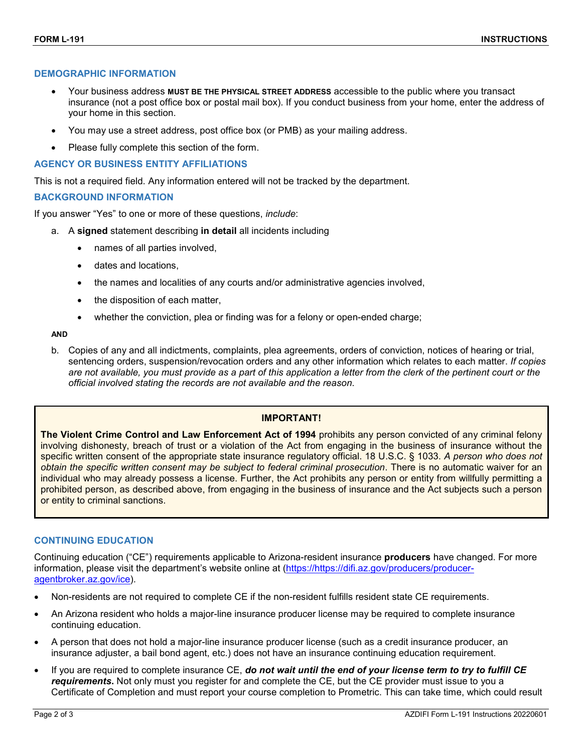### **DEMOGRAPHIC INFORMATION**

- Your business address **MUST BE THE PHYSICAL STREET ADDRESS** accessible to the public where you transact insurance (not a post office box or postal mail box). If you conduct business from your home, enter the address of your home in this section.
- You may use a street address, post office box (or PMB) as your mailing address.
- Please fully complete this section of the form.

#### **AGENCY OR BUSINESS ENTITY AFFILIATIONS**

This is not a required field. Any information entered will not be tracked by the department.

#### **BACKGROUND INFORMATION**

If you answer "Yes" to one or more of these questions, *include*:

- a. A **signed** statement describing **in detail** all incidents including
	- names of all parties involved,
	- dates and locations,
	- the names and localities of any courts and/or administrative agencies involved,
	- the disposition of each matter,
	- whether the conviction, plea or finding was for a felony or open-ended charge;

#### **AND**

b. Copies of any and all indictments, complaints, plea agreements, orders of conviction, notices of hearing or trial, sentencing orders, suspension/revocation orders and any other information which relates to each matter. *If copies are not available, you must provide as a part of this application a letter from the clerk of the pertinent court or the official involved stating the records are not available and the reason*.

## **IMPORTANT!**

**The Violent Crime Control and Law Enforcement Act of 1994** prohibits any person convicted of any criminal felony involving dishonesty, breach of trust or a violation of the Act from engaging in the business of insurance without the specific written consent of the appropriate state insurance regulatory official. 18 U.S.C. § 1033. *A person who does not obtain the specific written consent may be subject to federal criminal prosecution*. There is no automatic waiver for an individual who may already possess a license. Further, the Act prohibits any person or entity from willfully permitting a prohibited person, as described above, from engaging in the business of insurance and the Act subjects such a person or entity to criminal sanctions.

### **CONTINUING EDUCATION**

Continuing education ("CE") requirements applicable to Arizona-resident insurance **producers** have changed. For more information, please visit the department's website online at (https://https://difi.az.gov/producers/produceragentbroker.az.gov/ice).

- Non-residents are not required to complete CE if the non-resident fulfills resident state CE requirements.
- An Arizona resident who holds a major-line insurance producer license may be required to complete insurance continuing education.
- A person that does not hold a major-line insurance producer license (such as a credit insurance producer, an insurance adjuster, a bail bond agent, etc.) does not have an insurance continuing education requirement.
- If you are required to complete insurance CE, *do not wait until the end of your license term to try to fulfill CE requirements***.** Not only must you register for and complete the CE, but the CE provider must issue to you a Certificate of Completion and must report your course completion to Prometric. This can take time, which could result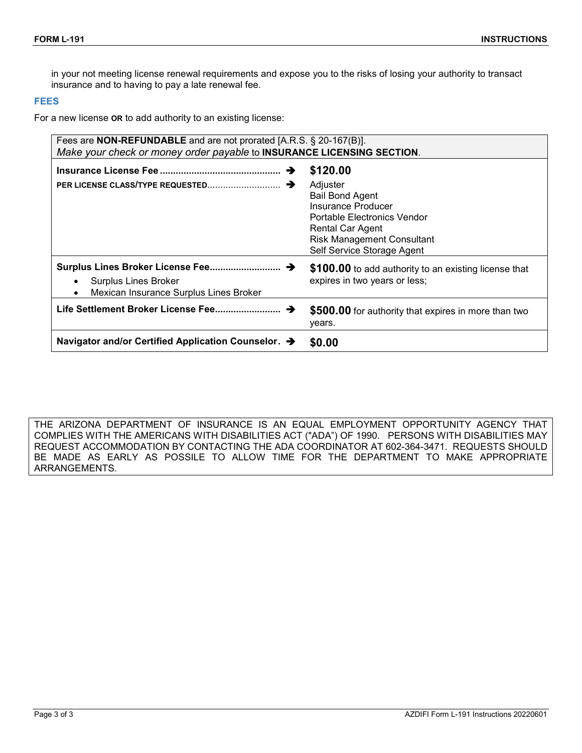in your not meeting license renewal requirements and expose you to the risks of losing your authority to transact insurance and to having to pay a late renewal fee.

### **FEES**

For a new license **OR** to add authority to an existing license:

| Fees are <b>NON-REFUNDABLE</b> and are not prorated [A.R.S. § 20-167(B)].<br>Make your check or money order payable to INSURANCE LICENSING SECTION. |                                                                                                                                                                                                   |  |  |  |  |  |  |
|-----------------------------------------------------------------------------------------------------------------------------------------------------|---------------------------------------------------------------------------------------------------------------------------------------------------------------------------------------------------|--|--|--|--|--|--|
| →                                                                                                                                                   | \$120.00<br>Adjuster<br><b>Bail Bond Agent</b><br>Insurance Producer<br>Portable Electronics Vendor<br><b>Rental Car Agent</b><br><b>Risk Management Consultant</b><br>Self Service Storage Agent |  |  |  |  |  |  |
| Surplus Lines Broker License Fee →<br>Surplus Lines Broker<br>$\bullet$<br>Mexican Insurance Surplus Lines Broker<br>$\bullet$                      | \$100.00 to add authority to an existing license that<br>expires in two years or less;                                                                                                            |  |  |  |  |  |  |
| Life Settlement Broker License Fee →                                                                                                                | \$500.00 for authority that expires in more than two<br>years.                                                                                                                                    |  |  |  |  |  |  |
| Navigator and/or Certified Application Counselor. →                                                                                                 | \$0.00                                                                                                                                                                                            |  |  |  |  |  |  |

THE ARIZONA DEPARTMENT OF INSURANCE IS AN EQUAL EMPLOYMENT OPPORTUNITY AGENCY THAT COMPLIES WITH THE AMERICANS WITH DISABILITIES ACT ("ADA") OF 1990. PERSONS WITH DISABILITIES MAY REQUEST ACCOMMODATION BY CONTACTING THE ADA COORDINATOR AT 602-364-3471. REQUESTS SHOULD BE MADE AS EARLY AS POSSILE TO ALLOW TIME FOR THE DEPARTMENT TO MAKE APPROPRIATE ARRANGEMENTS.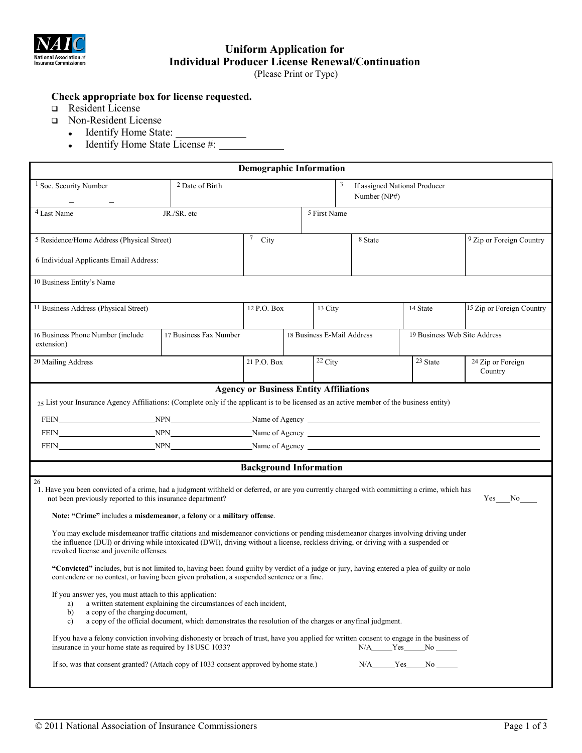

# **Uniform Application for Individual Producer License Renewal/Continuation**

(Please Print or Type)

# **Check appropriate box for license requested.**

- Resident License
- Non-Resident License
	- Identify Home State:  $\bullet$
	- Identify Home State License #:  $\bullet$

| <b>Demographic Information</b>                                                                                                                                                                                                                                                                                    |                                                                                                                                                                                |                               |  |                                               |                                                            |                                                                 |                                     |  |  |
|-------------------------------------------------------------------------------------------------------------------------------------------------------------------------------------------------------------------------------------------------------------------------------------------------------------------|--------------------------------------------------------------------------------------------------------------------------------------------------------------------------------|-------------------------------|--|-----------------------------------------------|------------------------------------------------------------|-----------------------------------------------------------------|-------------------------------------|--|--|
| <sup>1</sup> Soc. Security Number                                                                                                                                                                                                                                                                                 | <sup>2</sup> Date of Birth                                                                                                                                                     |                               |  | 3                                             | If assigned National Producer<br>Number (NP#)              |                                                                 |                                     |  |  |
| <sup>4</sup> Last Name                                                                                                                                                                                                                                                                                            | JR./SR. etc                                                                                                                                                                    |                               |  | <sup>5</sup> First Name                       |                                                            |                                                                 |                                     |  |  |
| 5 Residence/Home Address (Physical Street)                                                                                                                                                                                                                                                                        |                                                                                                                                                                                | 7<br>City                     |  |                                               | 8 State                                                    |                                                                 | <sup>9</sup> Zip or Foreign Country |  |  |
| 6 Individual Applicants Email Address:                                                                                                                                                                                                                                                                            |                                                                                                                                                                                |                               |  |                                               |                                                            |                                                                 |                                     |  |  |
| 10 Business Entity's Name                                                                                                                                                                                                                                                                                         |                                                                                                                                                                                |                               |  |                                               |                                                            |                                                                 |                                     |  |  |
| <sup>11</sup> Business Address (Physical Street)                                                                                                                                                                                                                                                                  |                                                                                                                                                                                | 12 P.O. Box                   |  | 13 City                                       |                                                            | 14 State                                                        | 15 Zip or Foreign Country           |  |  |
| 16 Business Phone Number (include<br>extension)                                                                                                                                                                                                                                                                   | 17 Business Fax Number                                                                                                                                                         |                               |  |                                               | 18 Business E-Mail Address<br>19 Business Web Site Address |                                                                 |                                     |  |  |
| 20 Mailing Address                                                                                                                                                                                                                                                                                                |                                                                                                                                                                                | 21 P.O. Box                   |  | $22$ City                                     |                                                            | 23 State                                                        | 24 Zip or Foreign<br>Country        |  |  |
| $25$ List your Insurance Agency Affiliations: (Complete only if the applicant is to be licensed as an active member of the business entity)<br>NPN Name of Agency Name Communication and the SNPN Name of Agency Name of Agency Name of Agency Name of Agency<br>FEIN                                             |                                                                                                                                                                                |                               |  | <b>Agency or Business Entity Affiliations</b> |                                                            |                                                                 |                                     |  |  |
|                                                                                                                                                                                                                                                                                                                   |                                                                                                                                                                                | <b>Background Information</b> |  |                                               |                                                            |                                                                 |                                     |  |  |
| 26<br>1. Have you been convicted of a crime, had a judgment withheld or deferred, or are you currently charged with committing a crime, which has<br>not been previously reported to this insurance department?<br>Note: "Crime" includes a misdemeanor, a felony or a military offense.                          |                                                                                                                                                                                |                               |  |                                               |                                                            |                                                                 | Yes No                              |  |  |
| You may exclude misdemeanor traffic citations and misdemeanor convictions or pending misdemeanor charges involving driving under<br>the influence (DUI) or driving while intoxicated (DWI), driving without a license, reckless driving, or driving with a suspended or<br>revoked license and juvenile offenses. |                                                                                                                                                                                |                               |  |                                               |                                                            |                                                                 |                                     |  |  |
| "Convicted" includes, but is not limited to, having been found guilty by verdict of a judge or jury, having entered a plea of guilty or nolo<br>contendere or no contest, or having been given probation, a suspended sentence or a fine.                                                                         |                                                                                                                                                                                |                               |  |                                               |                                                            |                                                                 |                                     |  |  |
| If you answer yes, you must attach to this application:<br>a)<br>a copy of the charging document,<br>b)<br>c)                                                                                                                                                                                                     | a written statement explaining the circumstances of each incident,<br>a copy of the official document, which demonstrates the resolution of the charges or any final judgment. |                               |  |                                               |                                                            |                                                                 |                                     |  |  |
| If you have a felony conviction involving dishonesty or breach of trust, have you applied for written consent to engage in the business of<br>insurance in your home state as required by 18 USC 1033?                                                                                                            |                                                                                                                                                                                |                               |  |                                               |                                                            | N/A_____Yes_____No _____                                        |                                     |  |  |
| If so, was that consent granted? (Attach copy of 1033 consent approved byhome state.)                                                                                                                                                                                                                             |                                                                                                                                                                                |                               |  |                                               |                                                            | $N/A$ $Yes$ $No$ $\rule{1em}{0.15mm}$ $No$ $\rule{1em}{0.15mm}$ |                                     |  |  |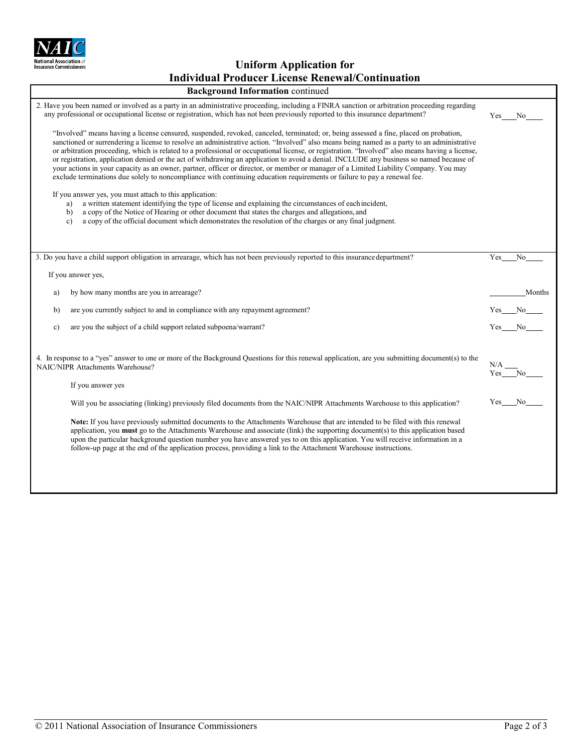

**Uniform Application for Individual Producer License Renewal/Continuation**

| <b>Background Information continued</b>                                                                                                                                                                                                                                                                                                                                                                                                                                                                                                                                                                                                                                                                                                                                                                                                                  |               |          |  |  |  |
|----------------------------------------------------------------------------------------------------------------------------------------------------------------------------------------------------------------------------------------------------------------------------------------------------------------------------------------------------------------------------------------------------------------------------------------------------------------------------------------------------------------------------------------------------------------------------------------------------------------------------------------------------------------------------------------------------------------------------------------------------------------------------------------------------------------------------------------------------------|---------------|----------|--|--|--|
| 2. Have you been named or involved as a party in an administrative proceeding, including a FINRA sanction or arbitration proceeding regarding<br>any professional or occupational license or registration, which has not been previously reported to this insurance department?                                                                                                                                                                                                                                                                                                                                                                                                                                                                                                                                                                          |               |          |  |  |  |
| "Involved" means having a license censured, suspended, revoked, canceled, terminated; or, being assessed a fine, placed on probation,<br>sanctioned or surrendering a license to resolve an administrative action. "Involved" also means being named as a party to an administrative<br>or arbitration proceeding, which is related to a professional or occupational license, or registration. "Involved" also means having a license,<br>or registration, application denied or the act of withdrawing an application to avoid a denial. INCLUDE any business so named because of<br>your actions in your capacity as an owner, partner, officer or director, or member or manager of a Limited Liability Company. You may<br>exclude terminations due solely to noncompliance with continuing education requirements or failure to pay a renewal fee. |               |          |  |  |  |
| If you answer yes, you must attach to this application:<br>a written statement identifying the type of license and explaining the circumstances of each incident,<br>a)<br>a copy of the Notice of Hearing or other document that states the charges and allegations, and<br>b)<br>a copy of the official document which demonstrates the resolution of the charges or any final judgment.<br>c)                                                                                                                                                                                                                                                                                                                                                                                                                                                         |               |          |  |  |  |
| 3. Do you have a child support obligation in arrearage, which has not been previously reported to this insurance department?                                                                                                                                                                                                                                                                                                                                                                                                                                                                                                                                                                                                                                                                                                                             | Yes           | No       |  |  |  |
| If you answer yes,                                                                                                                                                                                                                                                                                                                                                                                                                                                                                                                                                                                                                                                                                                                                                                                                                                       |               |          |  |  |  |
| by how many months are you in arrearage?<br>a)                                                                                                                                                                                                                                                                                                                                                                                                                                                                                                                                                                                                                                                                                                                                                                                                           |               | Months   |  |  |  |
| are you currently subject to and in compliance with any repayment agreement?<br>b)                                                                                                                                                                                                                                                                                                                                                                                                                                                                                                                                                                                                                                                                                                                                                                       |               | $Yes$ No |  |  |  |
| c)<br>are you the subject of a child support related subpoena/warrant?                                                                                                                                                                                                                                                                                                                                                                                                                                                                                                                                                                                                                                                                                                                                                                                   | Yes No        |          |  |  |  |
| 4. In response to a "yes" answer to one or more of the Background Questions for this renewal application, are you submitting document(s) to the<br>NAIC/NIPR Attachments Warehouse?<br>If you answer yes                                                                                                                                                                                                                                                                                                                                                                                                                                                                                                                                                                                                                                                 | N/A<br>Yes No |          |  |  |  |
| Will you be associating (linking) previously filed documents from the NAIC/NIPR Attachments Warehouse to this application?                                                                                                                                                                                                                                                                                                                                                                                                                                                                                                                                                                                                                                                                                                                               | Yes           | No.      |  |  |  |
| Note: If you have previously submitted documents to the Attachments Warehouse that are intended to be filed with this renewal<br>application, you must go to the Attachments Warehouse and associate (link) the supporting document(s) to this application based<br>upon the particular background question number you have answered yes to on this application. You will receive information in a<br>follow-up page at the end of the application process, providing a link to the Attachment Warehouse instructions.                                                                                                                                                                                                                                                                                                                                   |               |          |  |  |  |
|                                                                                                                                                                                                                                                                                                                                                                                                                                                                                                                                                                                                                                                                                                                                                                                                                                                          |               |          |  |  |  |